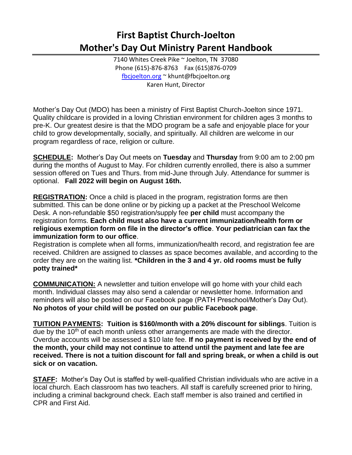## **First Baptist Church-Joelton Mother's Day Out Ministry Parent Handbook**

7140 Whites Creek Pike ~ Joelton, TN 37080 Phone (615)-876-8763 Fax (615)876-0709 [fbcjoelton.org](mailto:fbcjoelton.org) ~ khunt@fbcjoelton.org Karen Hunt, Director

Mother's Day Out (MDO) has been a ministry of First Baptist Church-Joelton since 1971. Quality childcare is provided in a loving Christian environment for children ages 3 months to pre-K. Our greatest desire is that the MDO program be a safe and enjoyable place for your child to grow developmentally, socially, and spiritually. All children are welcome in our program regardless of race, religion or culture.

**SCHEDULE:** Mother's Day Out meets on **Tuesday** and **Thursday** from 9:00 am to 2:00 pm during the months of August to May. For children currently enrolled, there is also a summer session offered on Tues and Thurs. from mid-June through July. Attendance for summer is optional. **Fall 2022 will begin on August 16th.**

**REGISTRATION:** Once a child is placed in the program, registration forms are then submitted. This can be done online or by picking up a packet at the Preschool Welcome Desk. A non-refundable \$50 registration/supply fee **per child** must accompany the registration forms. **Each child must also have a current immunization/health form or religious exemption form on file in the director's office**. **Your pediatrician can fax the immunization form to our office**.

Registration is complete when all forms, immunization/health record, and registration fee are received. Children are assigned to classes as space becomes available, and according to the order they are on the waiting list. **\*Children in the 3 and 4 yr. old rooms must be fully potty trained\***

**COMMUNICATION:** A newsletter and tuition envelope will go home with your child each month. Individual classes may also send a calendar or newsletter home. Information and reminders will also be posted on our Facebook page (PATH Preschool/Mother's Day Out). **No photos of your child will be posted on our public Facebook page**.

**TUITION PAYMENTS: Tuition is \$160/month with a 20% discount for siblings**. Tuition is due by the  $10<sup>th</sup>$  of each month unless other arrangements are made with the director. Overdue accounts will be assessed a \$10 late fee. **If no payment is received by the end of the month, your child may not continue to attend until the payment and late fee are received. There is not a tuition discount for fall and spring break, or when a child is out sick or on vacation.**

**STAFF:** Mother's Day Out is staffed by well-qualified Christian individuals who are active in a local church. Each classroom has two teachers. All staff is carefully screened prior to hiring, including a criminal background check. Each staff member is also trained and certified in CPR and First Aid.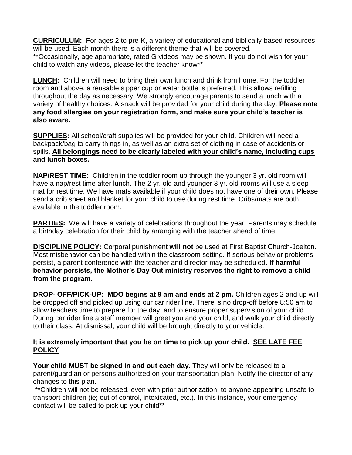**CURRICULUM:** For ages 2 to pre-K, a variety of educational and biblically-based resources will be used. Each month there is a different theme that will be covered.

\*\*Occasionally, age appropriate, rated G videos may be shown. If you do not wish for your child to watch any videos, please let the teacher know\*\*

**LUNCH:** Children will need to bring their own lunch and drink from home. For the toddler room and above, a reusable sipper cup or water bottle is preferred. This allows refilling throughout the day as necessary. We strongly encourage parents to send a lunch with a variety of healthy choices. A snack will be provided for your child during the day. **Please note any food allergies on your registration form, and make sure your child's teacher is also aware.** 

**SUPPLIES:** All school/craft supplies will be provided for your child. Children will need a backpack/bag to carry things in, as well as an extra set of clothing in case of accidents or spills. **All belongings need to be clearly labeled with your child's name, including cups and lunch boxes.**

**NAP/REST TIME:** Children in the toddler room up through the younger 3 yr. old room will have a nap/rest time after lunch. The 2 yr. old and younger 3 yr. old rooms will use a sleep mat for rest time. We have mats available if your child does not have one of their own. Please send a crib sheet and blanket for your child to use during rest time. Cribs/mats are both available in the toddler room.

**PARTIES:** We will have a variety of celebrations throughout the year. Parents may schedule a birthday celebration for their child by arranging with the teacher ahead of time.

**DISCIPLINE POLICY:** Corporal punishment **will not** be used at First Baptist Church-Joelton. Most misbehavior can be handled within the classroom setting. If serious behavior problems persist, a parent conference with the teacher and director may be scheduled. **If harmful behavior persists, the Mother's Day Out ministry reserves the right to remove a child from the program.** 

**DROP- OFF/PICK-UP: MDO begins at 9 am and ends at 2 pm.** Children ages 2 and up will be dropped off and picked up using our car rider line. There is no drop-off before 8:50 am to allow teachers time to prepare for the day, and to ensure proper supervision of your child. During car rider line a staff member will greet you and your child, and walk your child directly to their class. At dismissal, your child will be brought directly to your vehicle.

## **It is extremely important that you be on time to pick up your child. SEE LATE FEE POLICY**

**Your child MUST be signed in and out each day.** They will only be released to a parent/guardian or persons authorized on your transportation plan. Notify the director of any changes to this plan.

**\*\***Children will not be released, even with prior authorization, to anyone appearing unsafe to transport children (ie; out of control, intoxicated, etc.). In this instance, your emergency contact will be called to pick up your child**\*\***